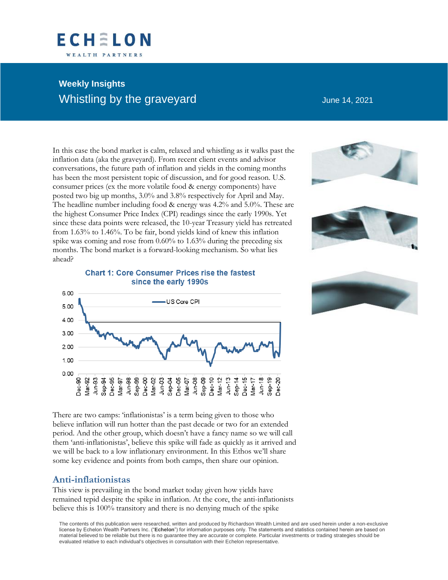# **FCHELON** WEALTH PARTNERS

# **Weekly Insights** Whistling by the graveyard and the state of the June 14, 2021

In this case the bond market is calm, relaxed and whistling as it walks past the inflation data (aka the graveyard). From recent client events and advisor conversations, the future path of inflation and yields in the coming months has been the most persistent topic of discussion, and for good reason. U.S. consumer prices (ex the more volatile food & energy components) have posted two big up months, 3.0% and 3.8% respectively for April and May. The headline number including food & energy was 4.2% and 5.0%. These are the highest Consumer Price Index (CPI) readings since the early 1990s. Yet since these data points were released, the 10-year Treasury yield has retreated from 1.63% to 1.46%. To be fair, bond yields kind of knew this inflation spike was coming and rose from 0.60% to 1.63% during the preceding six months. The bond market is a forward-looking mechanism. So what lies ahead?



#### **Chart 1: Core Consumer Prices rise the fastest** since the early 1990s



There are two camps: 'inflationistas' is a term being given to those who believe inflation will run hotter than the past decade or two for an extended period. And the other group, which doesn't have a fancy name so we will call them 'anti-inflationistas', believe this spike will fade as quickly as it arrived and we will be back to a low inflationary environment. In this Ethos we'll share some key evidence and points from both camps, then share our opinion.

## **Anti-inflationistas**

This view is prevailing in the bond market today given how yields have remained tepid despite the spike in inflation. At the core, the anti-inflationists believe this is 100% transitory and there is no denying much of the spike

The contents of this publication were researched, written and produced by Richardson Wealth Limited and are used herein under a non-exclusive license by Echelon Wealth Partners Inc. ("**Echelon**") for information purposes only. The statements and statistics contained herein are based on material believed to be reliable but there is no guarantee they are accurate or complete. Particular investments or trading strategies should be evaluated relative to each individual's objectives in consultation with their Echelon representative.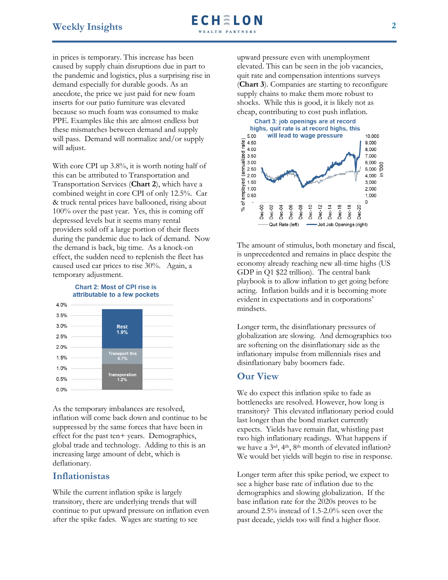in prices is temporary. This increase has been caused by supply chain disruptions due in part to the pandemic and logistics, plus a surprising rise in demand especially for durable goods. As an anecdote, the price we just paid for new foam inserts for our patio furniture was elevated because so much foam was consumed to make PPE. Examples like this are almost endless but these mismatches between demand and supply will pass. Demand will normalize and/or supply will adjust.

With core CPI up 3.8%, it is worth noting half of this can be attributed to Transportation and Transportation Services (**Chart 2**), which have a combined weight in core CPI of only 12.5%. Car & truck rental prices have ballooned, rising about 100% over the past year. Yes, this is coming off depressed levels but it seems many rental providers sold off a large portion of their fleets during the pandemic due to lack of demand. Now the demand is back, big time. As a knock-on effect, the sudden need to replenish the fleet has caused used car prices to rise 30%. Again, a temporary adjustment.





As the temporary imbalances are resolved, inflation will come back down and continue to be suppressed by the same forces that have been in effect for the past ten+ years. Demographics, global trade and technology. Adding to this is an increasing large amount of debt, which is deflationary.

## **Inflationistas**

While the current inflation spike is largely transitory, there are underlying trends that will continue to put upward pressure on inflation even after the spike fades. Wages are starting to see

upward pressure even with unemployment elevated. This can be seen in the job vacancies, quit rate and compensation intentions surveys (**Chart 3**). Companies are starting to reconfigure supply chains to make them more robust to shocks. While this is good, it is likely not as cheap, contributing to cost push inflation.



The amount of stimulus, both monetary and fiscal, is unprecedented and remains in place despite the economy already reaching new all-time highs (US GDP in Q1 \$22 trillion). The central bank playbook is to allow inflation to get going before acting. Inflation builds and it is becoming more evident in expectations and in corporations' mindsets.

Longer term, the disinflationary pressures of globalization are slowing. And demographics too are softening on the disinflationary side as the inflationary impulse from millennials rises and disinflationary baby boomers fade.

### **Our View**

We do expect this inflation spike to fade as bottlenecks are resolved. However, how long is transitory? This elevated inflationary period could last longer than the bond market currently expects. Yields have remain flat, whistling past two high inflationary readings. What happens if we have a 3rd, 4th, 8th month of elevated inflation? We would bet yields will begin to rise in response.

Longer term after this spike period, we expect to see a higher base rate of inflation due to the demographics and slowing globalization. If the base inflation rate for the 2020s proves to be around 2.5% instead of 1.5-2.0% seen over the past decade, yields too will find a higher floor.